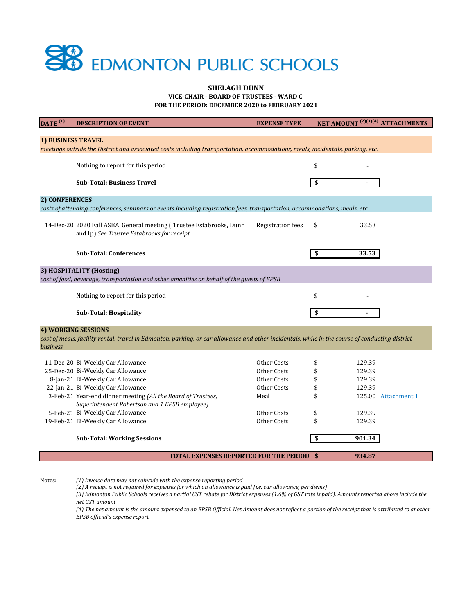**FOR THE PERIOD: DECEMBER 2020 to FEBRUARY 2021**

**VICE-CHAIR - BOARD OF TRUSTEES - WARD C** 

| $\overline{\text{DATE}}^{(1)}$                                                                                                                              | <b>DESCRIPTION OF EVENT</b>                                                                                                                     | <b>EXPENSE TYPE</b>      | NET AMOUNT <sup>(2)(3)(4)</sup> ATTACHMENTS |                     |  |
|-------------------------------------------------------------------------------------------------------------------------------------------------------------|-------------------------------------------------------------------------------------------------------------------------------------------------|--------------------------|---------------------------------------------|---------------------|--|
|                                                                                                                                                             |                                                                                                                                                 |                          |                                             |                     |  |
| <b>1) BUSINESS TRAVEL</b><br>meetings outside the District and associated costs including transportation, accommodations, meals, incidentals, parking, etc. |                                                                                                                                                 |                          |                                             |                     |  |
|                                                                                                                                                             |                                                                                                                                                 |                          |                                             |                     |  |
|                                                                                                                                                             | Nothing to report for this period                                                                                                               |                          | \$                                          |                     |  |
|                                                                                                                                                             |                                                                                                                                                 |                          |                                             |                     |  |
|                                                                                                                                                             | <b>Sub-Total: Business Travel</b>                                                                                                               |                          | -S                                          |                     |  |
| 2) CONFERENCES                                                                                                                                              |                                                                                                                                                 |                          |                                             |                     |  |
| costs of attending conferences, seminars or events including registration fees, transportation, accommodations, meals, etc.                                 |                                                                                                                                                 |                          |                                             |                     |  |
|                                                                                                                                                             | 14-Dec-20 2020 Fall ASBA General meeting (Trustee Estabrooks, Dunn<br>and Ip) See Trustee Estabrooks for receipt                                | <b>Registration fees</b> | \$<br>33.53                                 |                     |  |
|                                                                                                                                                             | <b>Sub-Total: Conferences</b>                                                                                                                   |                          | 33.53<br>-SS                                |                     |  |
| 3) HOSPITALITY (Hosting)                                                                                                                                    |                                                                                                                                                 |                          |                                             |                     |  |
| cost of food, beverage, transportation and other amenities on behalf of the guests of EPSB                                                                  |                                                                                                                                                 |                          |                                             |                     |  |
|                                                                                                                                                             | Nothing to report for this period                                                                                                               |                          | \$                                          |                     |  |
|                                                                                                                                                             | <b>Sub-Total: Hospitality</b>                                                                                                                   |                          |                                             |                     |  |
| <b>4) WORKING SESSIONS</b>                                                                                                                                  |                                                                                                                                                 |                          |                                             |                     |  |
|                                                                                                                                                             | cost of meals, facility rental, travel in Edmonton, parking, or car allowance and other incidentals, while in the course of conducting district |                          |                                             |                     |  |
| business                                                                                                                                                    |                                                                                                                                                 |                          |                                             |                     |  |
|                                                                                                                                                             | 11-Dec-20 Bi-Weekly Car Allowance                                                                                                               | Other Costs              | 129.39<br>\$                                |                     |  |
|                                                                                                                                                             | 25-Dec-20 Bi-Weekly Car Allowance                                                                                                               | Other Costs              | \$<br>129.39                                |                     |  |
|                                                                                                                                                             | 8-Jan-21 Bi-Weekly Car Allowance                                                                                                                | Other Costs              | \$<br>129.39                                |                     |  |
|                                                                                                                                                             | 22-Jan-21 Bi-Weekly Car Allowance                                                                                                               | Other Costs              | \$<br>129.39                                |                     |  |
|                                                                                                                                                             | 3-Feb-21 Year-end dinner meeting (All the Board of Trustees,                                                                                    | Meal                     | \$<br>125.00                                | <b>Attachment 1</b> |  |
|                                                                                                                                                             | Superintendent Robertson and 1 EPSB employee)                                                                                                   |                          |                                             |                     |  |
|                                                                                                                                                             | 5-Feb-21 Bi-Weekly Car Allowance                                                                                                                | Other Costs              | \$<br>129.39                                |                     |  |
|                                                                                                                                                             | 19-Feb-21 Bi-Weekly Car Allowance                                                                                                               | Other Costs              | \$<br>129.39                                |                     |  |
|                                                                                                                                                             | <b>Sub-Total: Working Sessions</b>                                                                                                              |                          | 901.34<br>$\frac{1}{2}$                     |                     |  |
|                                                                                                                                                             | <b>TOTAL EXPENSES REPORTED FOR THE PERIOD \$</b>                                                                                                |                          | 934.87                                      |                     |  |

*(4) The net amount is the amount expensed to an EPSB Official. Net Amount does not reflect a portion of the receipt that is attributed to another EPSB official's expense report.* 



## **SHELAGH DUNN**

Notes: *(1) Invoice date may not coincide with the expense reporting period*

> *(3) Edmonton Public Schools receives a partial GST rebate for District expenses (1.6% of GST rate is paid). Amounts reported above include the net GST amount*

*(2) A receipt is not required for expenses for which an allowance is paid (i.e. car allowance, per diems)*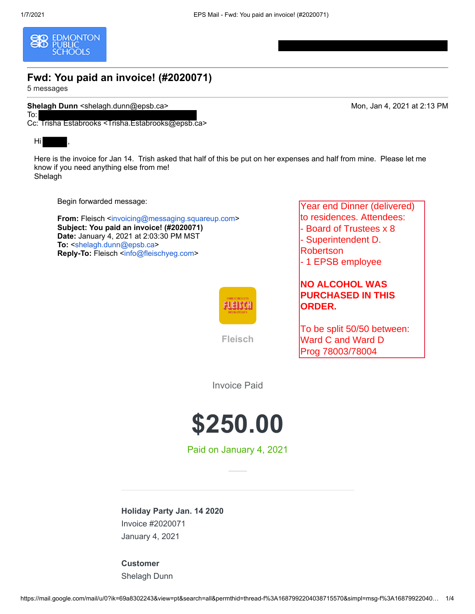<span id="page-1-0"></span>

# **Fwd: You paid an invoice! (#2020071)**

5 messages

To:

**Shelagh Dunn** <shelagh.dunn@epsb.ca> Mon, Jan 4, 2021 at 2:13 PM

Cc: Trisha Estabrooks <Trisha.Estabrooks@epsb.ca>

## Hi ,

Here is the invoice for Jan 14. Trish asked that half of this be put on her expenses and half from mine. Please let me know if you need anything else from me! Shelagh

Begin forwarded message:

**From:** Fleisch <[invoicing@messaging.squareup.com](mailto:invoicing@messaging.squareup.com)> **Subject: You paid an invoice! (#2020071) Date:** January 4, 2021 at 2:03:30 PM MST **To:** [<shelagh.dunn@epsb.ca](mailto:shelagh.dunn@epsb.ca)> **Reply-To:** Fleisch [<info@fleischyeg.com](mailto:info@fleischyeg.com)>



**Fleisch**

Year end Dinner (delivered) to residences. Attendees: - Board of Trustees x 8

- Superintendent D. Robertson

- 1 EPSB employee

## **NO ALCOHOL WAS PURCHASED IN THIS ORDER.**

To be split 50/50 between: Ward C and Ward D Prog 78003/78004

Invoice Paid



Paid on January 4, 2021

**Holiday Party Jan. 14 2020** Invoice #2020071

January 4, 2021

**Customer** Shelagh Dunn